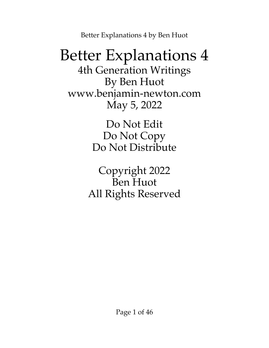### Better Explanations 4

4th Generation Writings By Ben Huot [www.benjamin-newton.com](http://www.benjamin-newton.com/) May 5, 2022

> Do Not Edit Do Not Copy Do Not Distribute

Copyright 2022 Ben Huot All Rights Reserved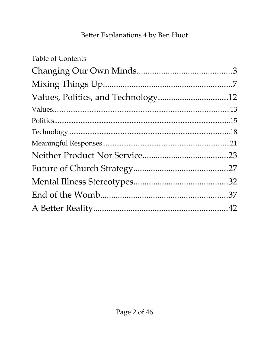| <b>Table of Contents</b> |  |
|--------------------------|--|
|                          |  |
|                          |  |
|                          |  |
|                          |  |
|                          |  |
|                          |  |
|                          |  |
|                          |  |
|                          |  |
|                          |  |
|                          |  |
|                          |  |
|                          |  |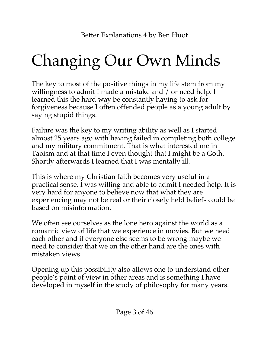# <span id="page-2-0"></span>Changing Our Own Minds

The key to most of the positive things in my life stem from my willingness to admit I made a mistake and / or need help. I learned this the hard way be constantly having to ask for forgiveness because I often offended people as a young adult by saying stupid things.

Failure was the key to my writing ability as well as I started almost 25 years ago with having failed in completing both college and my military commitment. That is what interested me in Taoism and at that time I even thought that I might be a Goth. Shortly afterwards I learned that I was mentally ill.

This is where my Christian faith becomes very useful in a practical sense. I was willing and able to admit I needed help. It is very hard for anyone to believe now that what they are experiencing may not be real or their closely held beliefs could be based on misinformation.

We often see ourselves as the lone hero against the world as a romantic view of life that we experience in movies. But we need each other and if everyone else seems to be wrong maybe we need to consider that we on the other hand are the ones with mistaken views.

Opening up this possibility also allows one to understand other people's point of view in other areas and is something I have developed in myself in the study of philosophy for many years.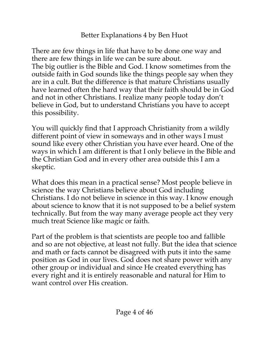There are few things in life that have to be done one way and there are few things in life we can be sure about. The big outlier is the Bible and God. I know sometimes from the outside faith in God sounds like the things people say when they are in a cult. But the difference is that mature Christians usually have learned often the hard way that their faith should be in God and not in other Christians. I realize many people today don't believe in God, but to understand Christians you have to accept this possibility.

You will quickly find that I approach Christianity from a wildly different point of view in someways and in other ways I must sound like every other Christian you have ever heard. One of the ways in which I am different is that I only believe in the Bible and the Christian God and in every other area outside this I am a skeptic.

What does this mean in a practical sense? Most people believe in science the way Christians believe about God including Christians. I do not believe in science in this way. I know enough about science to know that it is not supposed to be a belief system technically. But from the way many average people act they very much treat Science like magic or faith.

Part of the problem is that scientists are people too and fallible and so are not objective, at least not fully. But the idea that science and math or facts cannot be disagreed with puts it into the same position as God in our lives. God does not share power with any other group or individual and since He created everything has every right and it is entirely reasonable and natural for Him to want control over His creation.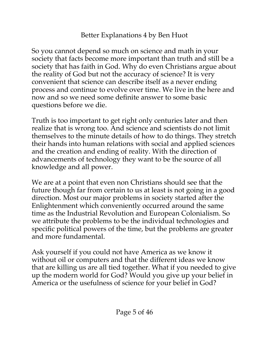So you cannot depend so much on science and math in your society that facts become more important than truth and still be a society that has faith in God. Why do even Christians argue about the reality of God but not the accuracy of science? It is very convenient that science can describe itself as a never ending process and continue to evolve over time. We live in the here and now and so we need some definite answer to some basic questions before we die.

Truth is too important to get right only centuries later and then realize that is wrong too. And science and scientists do not limit themselves to the minute details of how to do things. They stretch their hands into human relations with social and applied sciences and the creation and ending of reality. With the direction of advancements of technology they want to be the source of all knowledge and all power.

We are at a point that even non Christians should see that the future though far from certain to us at least is not going in a good direction. Most our major problems in society started after the Enlightenment which conveniently occurred around the same time as the Industrial Revolution and European Colonialism. So we attribute the problems to be the individual technologies and specific political powers of the time, but the problems are greater and more fundamental.

Ask yourself if you could not have America as we know it without oil or computers and that the different ideas we know that are killing us are all tied together. What if you needed to give up the modern world for God? Would you give up your belief in America or the usefulness of science for your belief in God?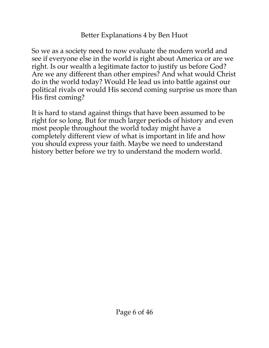So we as a society need to now evaluate the modern world and see if everyone else in the world is right about America or are we right. Is our wealth a legitimate factor to justify us before God? Are we any different than other empires? And what would Christ do in the world today? Would He lead us into battle against our political rivals or would His second coming surprise us more than His first coming?

It is hard to stand against things that have been assumed to be right for so long. But for much larger periods of history and even most people throughout the world today might have a completely different view of what is important in life and how you should express your faith. Maybe we need to understand history better before we try to understand the modern world.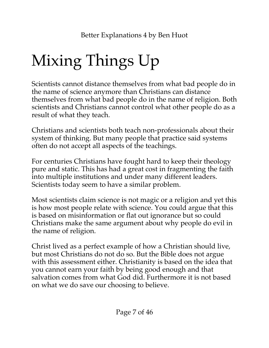# <span id="page-6-0"></span>Mixing Things Up

Scientists cannot distance themselves from what bad people do in the name of science anymore than Christians can distance themselves from what bad people do in the name of religion. Both scientists and Christians cannot control what other people do as a result of what they teach.

Christians and scientists both teach non-professionals about their system of thinking. But many people that practice said systems often do not accept all aspects of the teachings.

For centuries Christians have fought hard to keep their theology pure and static. This has had a great cost in fragmenting the faith into multiple institutions and under many different leaders. Scientists today seem to have a similar problem.

Most scientists claim science is not magic or a religion and yet this is how most people relate with science. You could argue that this is based on misinformation or flat out ignorance but so could Christians make the same argument about why people do evil in the name of religion.

Christ lived as a perfect example of how a Christian should live, but most Christians do not do so. But the Bible does not argue with this assessment either. Christianity is based on the idea that you cannot earn your faith by being good enough and that salvation comes from what God did. Furthermore it is not based on what we do save our choosing to believe.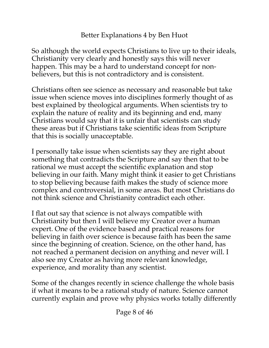So although the world expects Christians to live up to their ideals, Christianity very clearly and honestly says this will never happen. This may be a hard to understand concept for nonbelievers, but this is not contradictory and is consistent.

Christians often see science as necessary and reasonable but take issue when science moves into disciplines formerly thought of as best explained by theological arguments. When scientists try to explain the nature of reality and its beginning and end, many Christians would say that it is unfair that scientists can study these areas but if Christians take scientific ideas from Scripture that this is socially unacceptable.

I personally take issue when scientists say they are right about something that contradicts the Scripture and say then that to be rational we must accept the scientific explanation and stop believing in our faith. Many might think it easier to get Christians to stop believing because faith makes the study of science more complex and controversial, in some areas. But most Christians do not think science and Christianity contradict each other.

I flat out say that science is not always compatible with Christianity but then I will believe my Creator over a human expert. One of the evidence based and practical reasons for believing in faith over science is because faith has been the same since the beginning of creation. Science, on the other hand, has not reached a permanent decision on anything and never will. I also see my Creator as having more relevant knowledge, experience, and morality than any scientist.

Some of the changes recently in science challenge the whole basis if what it means to be a rational study of nature. Science cannot currently explain and prove why physics works totally differently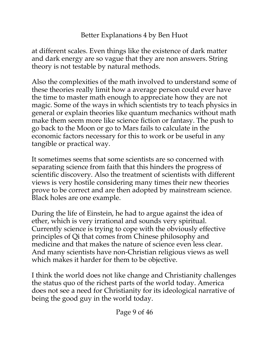at different scales. Even things like the existence of dark matter and dark energy are so vague that they are non answers. String theory is not testable by natural methods.

Also the complexities of the math involved to understand some of these theories really limit how a average person could ever have the time to master math enough to appreciate how they are not magic. Some of the ways in which scientists try to teach physics in general or explain theories like quantum mechanics without math make them seem more like science fiction or fantasy. The push to go back to the Moon or go to Mars fails to calculate in the economic factors necessary for this to work or be useful in any tangible or practical way.

It sometimes seems that some scientists are so concerned with separating science from faith that this hinders the progress of scientific discovery. Also the treatment of scientists with different views is very hostile considering many times their new theories prove to be correct and are then adopted by mainstream science. Black holes are one example.

During the life of Einstein, he had to argue against the idea of ether, which is very irrational and sounds very spiritual. Currently science is trying to cope with the obviously effective principles of Qi that comes from Chinese philosophy and medicine and that makes the nature of science even less clear. And many scientists have non-Christian religious views as well which makes it harder for them to be objective.

I think the world does not like change and Christianity challenges the status quo of the richest parts of the world today. America does not see a need for Christianity for its ideological narrative of being the good guy in the world today.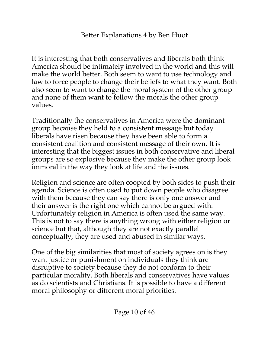It is interesting that both conservatives and liberals both think America should be intimately involved in the world and this will make the world better. Both seem to want to use technology and law to force people to change their beliefs to what they want. Both also seem to want to change the moral system of the other group and none of them want to follow the morals the other group values.

Traditionally the conservatives in America were the dominant group because they held to a consistent message but today liberals have risen because they have been able to form a consistent coalition and consistent message of their own. It is interesting that the biggest issues in both conservative and liberal groups are so explosive because they make the other group look immoral in the way they look at life and the issues.

Religion and science are often coopted by both sides to push their agenda. Science is often used to put down people who disagree with them because they can say there is only one answer and their answer is the right one which cannot be argued with. Unfortunately religion in America is often used the same way. This is not to say there is anything wrong with either religion or science but that, although they are not exactly parallel conceptually, they are used and abused in similar ways.

One of the big similarities that most of society agrees on is they want justice or punishment on individuals they think are disruptive to society because they do not conform to their particular morality. Both liberals and conservatives have values as do scientists and Christians. It is possible to have a different moral philosophy or different moral priorities.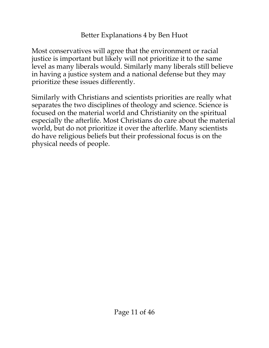Most conservatives will agree that the environment or racial justice is important but likely will not prioritize it to the same level as many liberals would. Similarly many liberals still believe in having a justice system and a national defense but they may prioritize these issues differently.

Similarly with Christians and scientists priorities are really what separates the two disciplines of theology and science. Science is focused on the material world and Christianity on the spiritual especially the afterlife. Most Christians do care about the material world, but do not prioritize it over the afterlife. Many scientists do have religious beliefs but their professional focus is on the physical needs of people.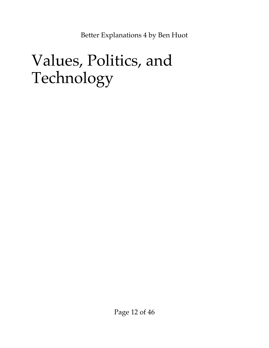### <span id="page-11-0"></span>Values, Politics, and Technology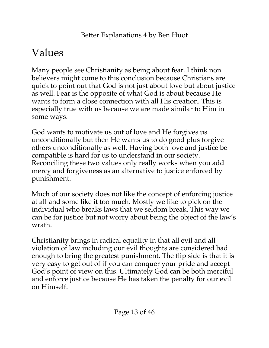### <span id="page-12-0"></span>Values

Many people see Christianity as being about fear. I think non believers might come to this conclusion because Christians are quick to point out that God is not just about love but about justice as well. Fear is the opposite of what God is about because He wants to form a close connection with all His creation. This is especially true with us because we are made similar to Him in some ways.

God wants to motivate us out of love and He forgives us unconditionally but then He wants us to do good plus forgive others unconditionally as well. Having both love and justice be compatible is hard for us to understand in our society. Reconciling these two values only really works when you add mercy and forgiveness as an alternative to justice enforced by punishment.

Much of our society does not like the concept of enforcing justice at all and some like it too much. Mostly we like to pick on the individual who breaks laws that we seldom break. This way we can be for justice but not worry about being the object of the law's wrath.

Christianity brings in radical equality in that all evil and all violation of law including our evil thoughts are considered bad enough to bring the greatest punishment. The flip side is that it is very easy to get out of if you can conquer your pride and accept God's point of view on this. Ultimately God can be both merciful and enforce justice because He has taken the penalty for our evil on Himself.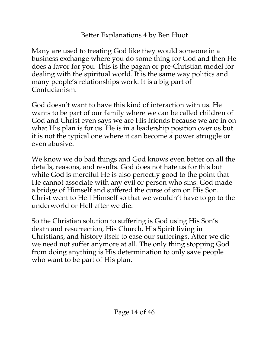Many are used to treating God like they would someone in a business exchange where you do some thing for God and then He does a favor for you. This is the pagan or pre-Christian model for dealing with the spiritual world. It is the same way politics and many people's relationships work. It is a big part of Confucianism.

God doesn't want to have this kind of interaction with us. He wants to be part of our family where we can be called children of God and Christ even says we are His friends because we are in on what His plan is for us. He is in a leadership position over us but it is not the typical one where it can become a power struggle or even abusive.

We know we do bad things and God knows even better on all the details, reasons, and results. God does not hate us for this but while God is merciful He is also perfectly good to the point that He cannot associate with any evil or person who sins. God made a bridge of Himself and suffered the curse of sin on His Son. Christ went to Hell Himself so that we wouldn't have to go to the underworld or Hell after we die.

So the Christian solution to suffering is God using His Son's death and resurrection, His Church, His Spirit living in Christians, and history itself to ease our sufferings. After we die we need not suffer anymore at all. The only thing stopping God from doing anything is His determination to only save people who want to be part of His plan.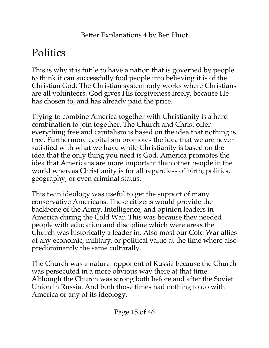### <span id="page-14-0"></span>**Politics**

This is why it is futile to have a nation that is governed by people to think it can successfully fool people into believing it is of the Christian God. The Christian system only works where Christians are all volunteers. God gives His forgiveness freely, because He has chosen to, and has already paid the price.

Trying to combine America together with Christianity is a hard combination to join together. The Church and Christ offer everything free and capitalism is based on the idea that nothing is free. Furthermore capitalism promotes the idea that we are never satisfied with what we have while Christianity is based on the idea that the only thing you need is God. America promotes the idea that Americans are more important than other people in the world whereas Christianity is for all regardless of birth, politics, geography, or even criminal status.

This twin ideology was useful to get the support of many conservative Americans. These citizens would provide the backbone of the Army, Intelligence, and opinion leaders in America during the Cold War. This was because they needed people with education and discipline which were areas the Church was historically a leader in. Also most our Cold War allies of any economic, military, or political value at the time where also predominantly the same culturally.

The Church was a natural opponent of Russia because the Church was persecuted in a more obvious way there at that time. Although the Church was strong both before and after the Soviet Union in Russia. And both those times had nothing to do with America or any of its ideology.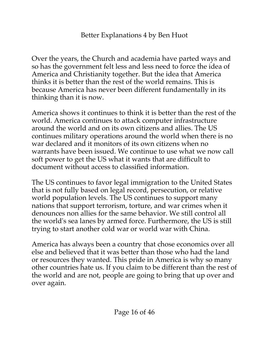Over the years, the Church and academia have parted ways and so has the government felt less and less need to force the idea of America and Christianity together. But the idea that America thinks it is better than the rest of the world remains. This is because America has never been different fundamentally in its thinking than it is now.

America shows it continues to think it is better than the rest of the world. America continues to attack computer infrastructure around the world and on its own citizens and allies. The US continues military operations around the world when there is no war declared and it monitors of its own citizens when no warrants have been issued. We continue to use what we now call soft power to get the US what it wants that are difficult to document without access to classified information.

The US continues to favor legal immigration to the United States that is not fully based on legal record, persecution, or relative world population levels. The US continues to support many nations that support terrorism, torture, and war crimes when it denounces non allies for the same behavior. We still control all the world's sea lanes by armed force. Furthermore, the US is still trying to start another cold war or world war with China.

America has always been a country that chose economics over all else and believed that it was better than those who had the land or resources they wanted. This pride in America is why so many other countries hate us. If you claim to be different than the rest of the world and are not, people are going to bring that up over and over again.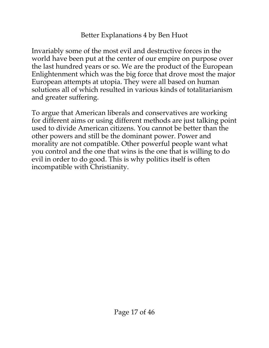Invariably some of the most evil and destructive forces in the world have been put at the center of our empire on purpose over the last hundred years or so. We are the product of the European Enlightenment which was the big force that drove most the major European attempts at utopia. They were all based on human solutions all of which resulted in various kinds of totalitarianism and greater suffering.

To argue that American liberals and conservatives are working for different aims or using different methods are just talking point used to divide American citizens. You cannot be better than the other powers and still be the dominant power. Power and morality are not compatible. Other powerful people want what you control and the one that wins is the one that is willing to do evil in order to do good. This is why politics itself is often incompatible with Christianity.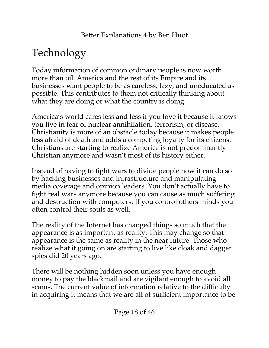### <span id="page-17-0"></span>Technology

Today information of common ordinary people is now worth more than oil. America and the rest of its Empire and its businesses want people to be as careless, lazy, and uneducated as possible. This contributes to them not critically thinking about what they are doing or what the country is doing.

America's world cares less and less if you love it because it knows you live in fear of nuclear annihilation, terrorism, or disease. Christianity is more of an obstacle today because it makes people less afraid of death and adds a competing loyalty for its citizens. Christians are starting to realize America is not predominantly Christian anymore and wasn't most of its history either.

Instead of having to fight wars to divide people now it can do so by hacking businesses and infrastructure and manipulating media coverage and opinion leaders. You don't actually have to fight real wars anymore because you can cause as much suffering and destruction with computers. If you control others minds you often control their souls as well.

The reality of the Internet has changed things so much that the appearance is as important as reality. This may change so that appearance is the same as reality in the near future. Those who realize what it going on are starting to live like cloak and dagger spies did 20 years ago.

There will be nothing hidden soon unless you have enough money to pay the blackmail and are vigilant enough to avoid all scams. The current value of information relative to the difficulty in acquiring it means that we are all of sufficient importance to be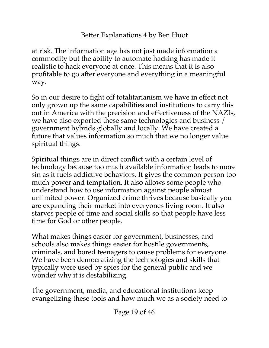at risk. The information age has not just made information a commodity but the ability to automate hacking has made it realistic to hack everyone at once. This means that it is also profitable to go after everyone and everything in a meaningful way.

So in our desire to fight off totalitarianism we have in effect not only grown up the same capabilities and institutions to carry this out in America with the precision and effectiveness of the NAZIs, we have also exported these same technologies and business / government hybrids globally and locally. We have created a future that values information so much that we no longer value spiritual things.

Spiritual things are in direct conflict with a certain level of technology because too much available information leads to more sin as it fuels addictive behaviors. It gives the common person too much power and temptation. It also allows some people who understand how to use information against people almost unlimited power. Organized crime thrives because basically you are expanding their market into everyones living room. It also starves people of time and social skills so that people have less time for God or other people.

What makes things easier for government, businesses, and schools also makes things easier for hostile governments, criminals, and bored teenagers to cause problems for everyone. We have been democratizing the technologies and skills that typically were used by spies for the general public and we wonder why it is destabilizing.

The government, media, and educational institutions keep evangelizing these tools and how much we as a society need to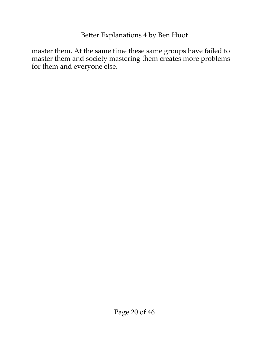master them. At the same time these same groups have failed to master them and society mastering them creates more problems for them and everyone else.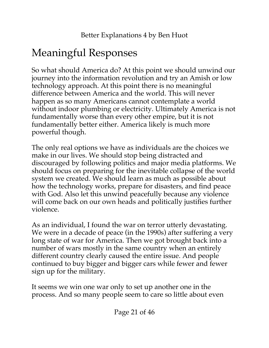### <span id="page-20-0"></span>Meaningful Responses

So what should America do? At this point we should unwind our journey into the information revolution and try an Amish or low technology approach. At this point there is no meaningful difference between America and the world. This will never happen as so many Americans cannot contemplate a world without indoor plumbing or electricity. Ultimately America is not fundamentally worse than every other empire, but it is not fundamentally better either. America likely is much more powerful though.

The only real options we have as individuals are the choices we make in our lives. We should stop being distracted and discouraged by following politics and major media platforms. We should focus on preparing for the inevitable collapse of the world system we created. We should learn as much as possible about how the technology works, prepare for disasters, and find peace with God. Also let this unwind peacefully because any violence will come back on our own heads and politically justifies further violence.

As an individual, I found the war on terror utterly devastating. We were in a decade of peace (in the 1990s) after suffering a very long state of war for America. Then we got brought back into a number of wars mostly in the same country when an entirely different country clearly caused the entire issue. And people continued to buy bigger and bigger cars while fewer and fewer sign up for the military.

It seems we win one war only to set up another one in the process. And so many people seem to care so little about even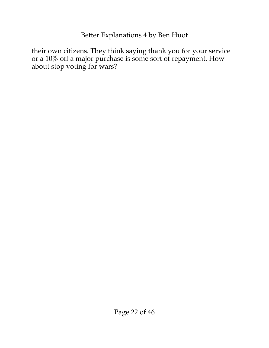their own citizens. They think saying thank you for your service or a 10% off a major purchase is some sort of repayment. How about stop voting for wars?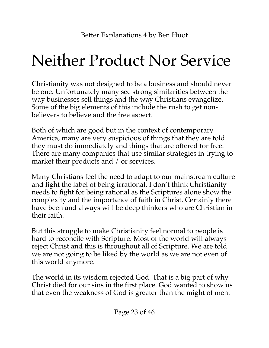## <span id="page-22-0"></span>Neither Product Nor Service

Christianity was not designed to be a business and should never be one. Unfortunately many see strong similarities between the way businesses sell things and the way Christians evangelize. Some of the big elements of this include the rush to get nonbelievers to believe and the free aspect.

Both of which are good but in the context of contemporary America, many are very suspicious of things that they are told they must do immediately and things that are offered for free. There are many companies that use similar strategies in trying to market their products and / or services.

Many Christians feel the need to adapt to our mainstream culture and fight the label of being irrational. I don't think Christianity needs to fight for being rational as the Scriptures alone show the complexity and the importance of faith in Christ. Certainly there have been and always will be deep thinkers who are Christian in their faith.

But this struggle to make Christianity feel normal to people is hard to reconcile with Scripture. Most of the world will always reject Christ and this is throughout all of Scripture. We are told we are not going to be liked by the world as we are not even of this world anymore.

The world in its wisdom rejected God. That is a big part of why Christ died for our sins in the first place. God wanted to show us that even the weakness of God is greater than the might of men.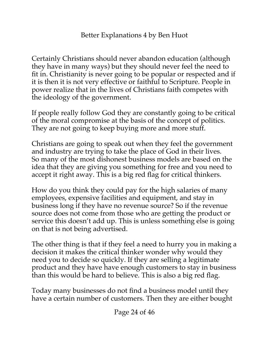Certainly Christians should never abandon education (although they have in many ways) but they should never feel the need to fit in. Christianity is never going to be popular or respected and if it is then it is not very effective or faithful to Scripture. People in power realize that in the lives of Christians faith competes with the ideology of the government.

If people really follow God they are constantly going to be critical of the moral compromise at the basis of the concept of politics. They are not going to keep buying more and more stuff.

Christians are going to speak out when they feel the government and industry are trying to take the place of God in their lives. So many of the most dishonest business models are based on the idea that they are giving you something for free and you need to accept it right away. This is a big red flag for critical thinkers.

How do you think they could pay for the high salaries of many employees, expensive facilities and equipment, and stay in business long if they have no revenue source? So if the revenue source does not come from those who are getting the product or service this doesn't add up. This is unless something else is going on that is not being advertised.

The other thing is that if they feel a need to hurry you in making a decision it makes the critical thinker wonder why would they need you to decide so quickly. If they are selling a legitimate product and they have have enough customers to stay in business than this would be hard to believe. This is also a big red flag.

Today many businesses do not find a business model until they have a certain number of customers. Then they are either bought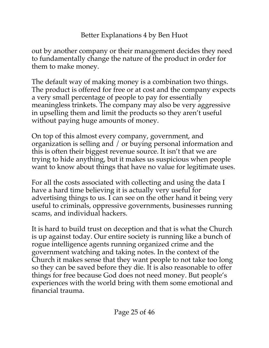out by another company or their management decides they need to fundamentally change the nature of the product in order for them to make money.

The default way of making money is a combination two things. The product is offered for free or at cost and the company expects a very small percentage of people to pay for essentially meaningless trinkets. The company may also be very aggressive in upselling them and limit the products so they aren't useful without paying huge amounts of money.

On top of this almost every company, government, and organization is selling and / or buying personal information and this is often their biggest revenue source. It isn't that we are trying to hide anything, but it makes us suspicious when people want to know about things that have no value for legitimate uses.

For all the costs associated with collecting and using the data I have a hard time believing it is actually very useful for advertising things to us. I can see on the other hand it being very useful to criminals, oppressive governments, businesses running scams, and individual hackers.

It is hard to build trust on deception and that is what the Church is up against today. Our entire society is running like a bunch of rogue intelligence agents running organized crime and the government watching and taking notes. In the context of the Church it makes sense that they want people to not take too long so they can be saved before they die. It is also reasonable to offer things for free because God does not need money. But people's experiences with the world bring with them some emotional and financial trauma.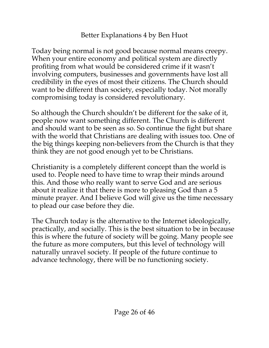Today being normal is not good because normal means creepy. When your entire economy and political system are directly profiting from what would be considered crime if it wasn't involving computers, businesses and governments have lost all credibility in the eyes of most their citizens. The Church should want to be different than society, especially today. Not morally compromising today is considered revolutionary.

So although the Church shouldn't be different for the sake of it, people now want something different. The Church is different and should want to be seen as so. So continue the fight but share with the world that Christians are dealing with issues too. One of the big things keeping non-believers from the Church is that they think they are not good enough yet to be Christians.

Christianity is a completely different concept than the world is used to. People need to have time to wrap their minds around this. And those who really want to serve God and are serious about it realize it that there is more to pleasing God than a 5 minute prayer. And I believe God will give us the time necessary to plead our case before they die.

The Church today is the alternative to the Internet ideologically, practically, and socially. This is the best situation to be in because this is where the future of society will be going. Many people see the future as more computers, but this level of technology will naturally unravel society. If people of the future continue to advance technology, there will be no functioning society.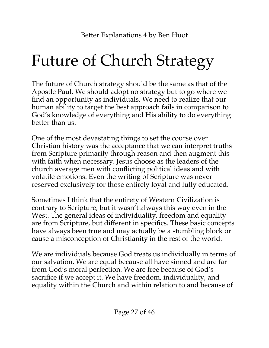## <span id="page-26-0"></span>Future of Church Strategy

The future of Church strategy should be the same as that of the Apostle Paul. We should adopt no strategy but to go where we find an opportunity as individuals. We need to realize that our human ability to target the best approach fails in comparison to God's knowledge of everything and His ability to do everything better than us.

One of the most devastating things to set the course over Christian history was the acceptance that we can interpret truths from Scripture primarily through reason and then augment this with faith when necessary. Jesus choose as the leaders of the church average men with conflicting political ideas and with volatile emotions. Even the writing of Scripture was never reserved exclusively for those entirely loyal and fully educated.

Sometimes I think that the entirety of Western Civilization is contrary to Scripture, but it wasn't always this way even in the West. The general ideas of individuality, freedom and equality are from Scripture, but different in specifics. These basic concepts have always been true and may actually be a stumbling block or cause a misconception of Christianity in the rest of the world.

We are individuals because God treats us individually in terms of our salvation. We are equal because all have sinned and are far from God's moral perfection. We are free because of God's sacrifice if we accept it. We have freedom, individuality, and equality within the Church and within relation to and because of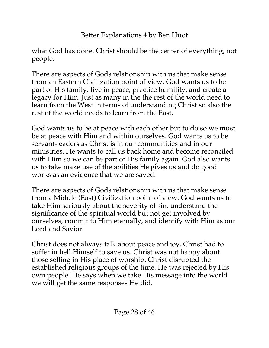what God has done. Christ should be the center of everything, not people.

There are aspects of Gods relationship with us that make sense from an Eastern Civilization point of view. God wants us to be part of His family, live in peace, practice humility, and create a legacy for Him. Just as many in the the rest of the world need to learn from the West in terms of understanding Christ so also the rest of the world needs to learn from the East.

God wants us to be at peace with each other but to do so we must be at peace with Him and within ourselves. God wants us to be servant-leaders as Christ is in our communities and in our ministries. He wants to call us back home and become reconciled with Him so we can be part of His family again. God also wants us to take make use of the abilities He gives us and do good works as an evidence that we are saved.

There are aspects of Gods relationship with us that make sense from a Middle (East) Civilization point of view. God wants us to take Him seriously about the severity of sin, understand the significance of the spiritual world but not get involved by ourselves, commit to Him eternally, and identify with Him as our Lord and Savior.

Christ does not always talk about peace and joy. Christ had to suffer in hell Himself to save us. Christ was not happy about those selling in His place of worship. Christ disrupted the established religious groups of the time. He was rejected by His own people. He says when we take His message into the world we will get the same responses He did.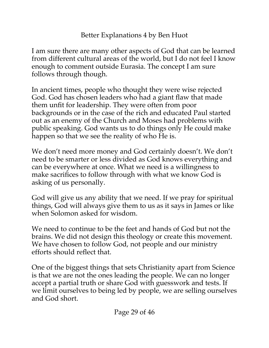I am sure there are many other aspects of God that can be learned from different cultural areas of the world, but I do not feel I know enough to comment outside Eurasia. The concept I am sure follows through though.

In ancient times, people who thought they were wise rejected God. God has chosen leaders who had a giant flaw that made them unfit for leadership. They were often from poor backgrounds or in the case of the rich and educated Paul started out as an enemy of the Church and Moses had problems with public speaking. God wants us to do things only He could make happen so that we see the reality of who He is.

We don't need more money and God certainly doesn't. We don't need to be smarter or less divided as God knows everything and can be everywhere at once. What we need is a willingness to make sacrifices to follow through with what we know God is asking of us personally.

God will give us any ability that we need. If we pray for spiritual things, God will always give them to us as it says in James or like when Solomon asked for wisdom.

We need to continue to be the feet and hands of God but not the brains. We did not design this theology or create this movement. We have chosen to follow God, not people and our ministry efforts should reflect that.

One of the biggest things that sets Christianity apart from Science is that we are not the ones leading the people. We can no longer accept a partial truth or share God with guesswork and tests. If we limit ourselves to being led by people, we are selling ourselves and God short.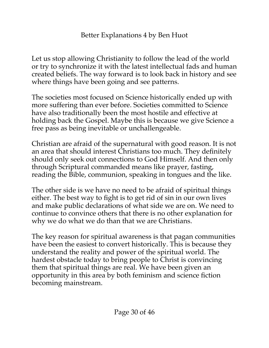Let us stop allowing Christianity to follow the lead of the world or try to synchronize it with the latest intellectual fads and human created beliefs. The way forward is to look back in history and see where things have been going and see patterns.

The societies most focused on Science historically ended up with more suffering than ever before. Societies committed to Science have also traditionally been the most hostile and effective at holding back the Gospel. Maybe this is because we give Science a free pass as being inevitable or unchallengeable.

Christian are afraid of the supernatural with good reason. It is not an area that should interest Christians too much. They definitely should only seek out connections to God Himself. And then only through Scriptural commanded means like prayer, fasting, reading the Bible, communion, speaking in tongues and the like.

The other side is we have no need to be afraid of spiritual things either. The best way to fight is to get rid of sin in our own lives and make public declarations of what side we are on. We need to continue to convince others that there is no other explanation for why we do what we do than that we are Christians.

The key reason for spiritual awareness is that pagan communities have been the easiest to convert historically. This is because they understand the reality and power of the spiritual world. The hardest obstacle today to bring people to Christ is convincing them that spiritual things are real. We have been given an opportunity in this area by both feminism and science fiction becoming mainstream.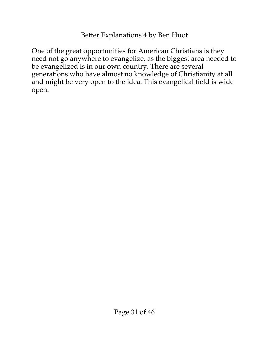One of the great opportunities for American Christians is they need not go anywhere to evangelize, as the biggest area needed to be evangelized is in our own country. There are several generations who have almost no knowledge of Christianity at all and might be very open to the idea. This evangelical field is wide open.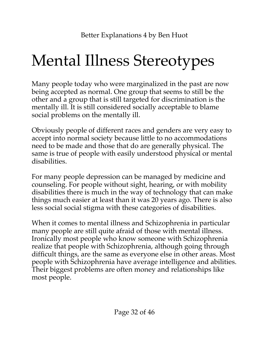## <span id="page-31-0"></span>Mental Illness Stereotypes

Many people today who were marginalized in the past are now being accepted as normal. One group that seems to still be the other and a group that is still targeted for discrimination is the mentally ill. It is still considered socially acceptable to blame social problems on the mentally ill.

Obviously people of different races and genders are very easy to accept into normal society because little to no accommodations need to be made and those that do are generally physical. The same is true of people with easily understood physical or mental disabilities.

For many people depression can be managed by medicine and counseling. For people without sight, hearing, or with mobility disabilities there is much in the way of technology that can make things much easier at least than it was 20 years ago. There is also less social social stigma with these categories of disabilities.

When it comes to mental illness and Schizophrenia in particular many people are still quite afraid of those with mental illness. Ironically most people who know someone with Schizophrenia realize that people with Schizophrenia, although going through difficult things, are the same as everyone else in other areas. Most people with Schizophrenia have average intelligence and abilities. Their biggest problems are often money and relationships like most people.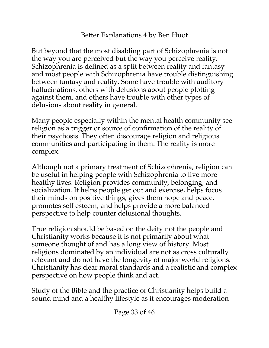But beyond that the most disabling part of Schizophrenia is not the way you are perceived but the way you perceive reality. Schizophrenia is defined as a split between reality and fantasy and most people with Schizophrenia have trouble distinguishing between fantasy and reality. Some have trouble with auditory hallucinations, others with delusions about people plotting against them, and others have trouble with other types of delusions about reality in general.

Many people especially within the mental health community see religion as a trigger or source of confirmation of the reality of their psychosis. They often discourage religion and religious communities and participating in them. The reality is more complex.

Although not a primary treatment of Schizophrenia, religion can be useful in helping people with Schizophrenia to live more healthy lives. Religion provides community, belonging, and socialization. It helps people get out and exercise, helps focus their minds on positive things, gives them hope and peace, promotes self esteem, and helps provide a more balanced perspective to help counter delusional thoughts.

True religion should be based on the deity not the people and Christianity works because it is not primarily about what someone thought of and has a long view of history. Most religions dominated by an individual are not as cross culturally relevant and do not have the longevity of major world religions. Christianity has clear moral standards and a realistic and complex perspective on how people think and act.

Study of the Bible and the practice of Christianity helps build a sound mind and a healthy lifestyle as it encourages moderation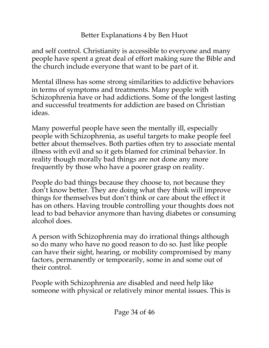and self control. Christianity is accessible to everyone and many people have spent a great deal of effort making sure the Bible and the church include everyone that want to be part of it.

Mental illness has some strong similarities to addictive behaviors in terms of symptoms and treatments. Many people with Schizophrenia have or had addictions. Some of the longest lasting and successful treatments for addiction are based on Christian ideas.

Many powerful people have seen the mentally ill, especially people with Schizophrenia, as useful targets to make people feel better about themselves. Both parties often try to associate mental illness with evil and so it gets blamed for criminal behavior. In reality though morally bad things are not done any more frequently by those who have a poorer grasp on reality.

People do bad things because they choose to, not because they don't know better. They are doing what they think will improve things for themselves but don't think or care about the effect it has on others. Having trouble controlling your thoughts does not lead to bad behavior anymore than having diabetes or consuming alcohol does.

A person with Schizophrenia may do irrational things although so do many who have no good reason to do so. Just like people can have their sight, hearing, or mobility compromised by many factors, permanently or temporarily, some in and some out of their control.

People with Schizophrenia are disabled and need help like someone with physical or relatively minor mental issues. This is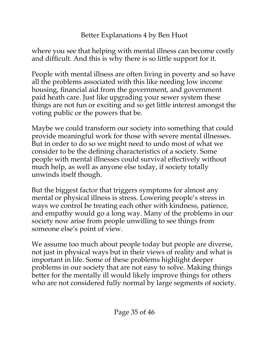where you see that helping with mental illness can become costly and difficult. And this is why there is so little support for it.

People with mental illness are often living in poverty and so have all the problems associated with this like needing low income housing, financial aid from the government, and government paid heath care. Just like upgrading your sewer system these things are not fun or exciting and so get little interest amongst the voting public or the powers that be.

Maybe we could transform our society into something that could provide meaningful work for those with severe mental illnesses. But in order to do so we might need to undo most of what we consider to be the defining characteristics of a society. Some people with mental illnesses could survival effectively without much help, as well as anyone else today, if society totally unwinds itself though.

But the biggest factor that triggers symptoms for almost any mental or physical illness is stress. Lowering people's stress in ways we control be treating each other with kindness, patience, and empathy would go a long way. Many of the problems in our society now arise from people unwilling to see things from someone else's point of view.

We assume too much about people today but people are diverse, not just in physical ways but in their views of reality and what is important in life. Some of these problems highlight deeper problems in our society that are not easy to solve. Making things better for the mentally ill would likely improve things for others who are not considered fully normal by large segments of society.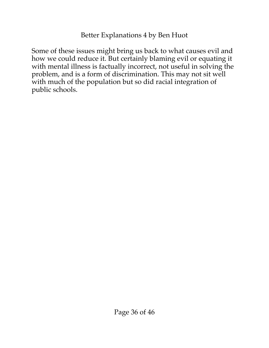Some of these issues might bring us back to what causes evil and how we could reduce it. But certainly blaming evil or equating it with mental illness is factually incorrect, not useful in solving the problem, and is a form of discrimination. This may not sit well with much of the population but so did racial integration of public schools.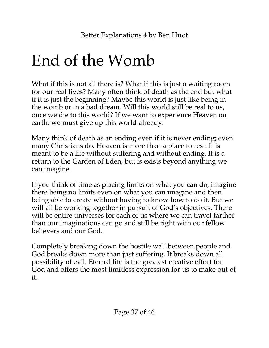## <span id="page-36-0"></span>End of the Womb

What if this is not all there is? What if this is just a waiting room for our real lives? Many often think of death as the end but what if it is just the beginning? Maybe this world is just like being in the womb or in a bad dream. Will this world still be real to us, once we die to this world? If we want to experience Heaven on earth, we must give up this world already.

Many think of death as an ending even if it is never ending; even many Christians do. Heaven is more than a place to rest. It is meant to be a life without suffering and without ending. It is a return to the Garden of Eden, but is exists beyond anything we can imagine.

If you think of time as placing limits on what you can do, imagine there being no limits even on what you can imagine and then being able to create without having to know how to do it. But we will all be working together in pursuit of God's objectives. There will be entire universes for each of us where we can travel farther than our imaginations can go and still be right with our fellow believers and our God.

Completely breaking down the hostile wall between people and God breaks down more than just suffering. It breaks down all possibility of evil. Eternal life is the greatest creative effort for God and offers the most limitless expression for us to make out of it.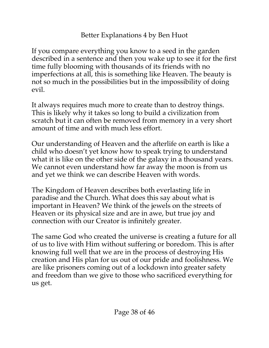If you compare everything you know to a seed in the garden described in a sentence and then you wake up to see it for the first time fully blooming with thousands of its friends with no imperfections at all, this is something like Heaven. The beauty is not so much in the possibilities but in the impossibility of doing evil.

It always requires much more to create than to destroy things. This is likely why it takes so long to build a civilization from scratch but it can often be removed from memory in a very short amount of time and with much less effort.

Our understanding of Heaven and the afterlife on earth is like a child who doesn't yet know how to speak trying to understand what it is like on the other side of the galaxy in a thousand years. We cannot even understand how far away the moon is from us and yet we think we can describe Heaven with words.

The Kingdom of Heaven describes both everlasting life in paradise and the Church. What does this say about what is important in Heaven? We think of the jewels on the streets of Heaven or its physical size and are in awe, but true joy and connection with our Creator is infinitely greater.

The same God who created the universe is creating a future for all of us to live with Him without suffering or boredom. This is after knowing full well that we are in the process of destroying His creation and His plan for us out of our pride and foolishness. We are like prisoners coming out of a lockdown into greater safety and freedom than we give to those who sacrificed everything for us get.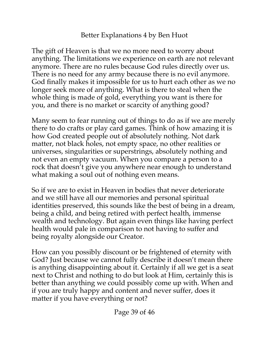The gift of Heaven is that we no more need to worry about anything. The limitations we experience on earth are not relevant anymore. There are no rules because God rules directly over us. There is no need for any army because there is no evil anymore. God finally makes it impossible for us to hurt each other as we no longer seek more of anything. What is there to steal when the whole thing is made of gold, everything you want is there for you, and there is no market or scarcity of anything good?

Many seem to fear running out of things to do as if we are merely there to do crafts or play card games. Think of how amazing it is how God created people out of absolutely nothing. Not dark matter, not black holes, not empty space, no other realities or universes, singularities or superstrings, absolutely nothing and not even an empty vacuum. When you compare a person to a rock that doesn't give you anywhere near enough to understand what making a soul out of nothing even means.

So if we are to exist in Heaven in bodies that never deteriorate and we still have all our memories and personal spiritual identities preserved, this sounds like the best of being in a dream, being a child, and being retired with perfect health, immense wealth and technology. But again even things like having perfect health would pale in comparison to not having to suffer and being royalty alongside our Creator.

How can you possibly discount or be frightened of eternity with God? Just because we cannot fully describe it doesn't mean there is anything disappointing about it. Certainly if all we get is a seat next to Christ and nothing to do but look at Him, certainly this is better than anything we could possibly come up with. When and if you are truly happy and content and never suffer, does it matter if you have everything or not?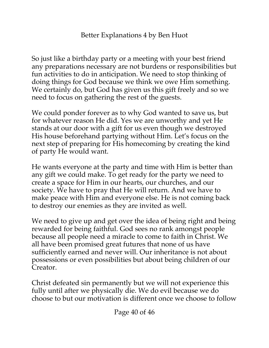So just like a birthday party or a meeting with your best friend any preparations necessary are not burdens or responsibilities but fun activities to do in anticipation. We need to stop thinking of doing things for God because we think we owe Him something. We certainly do, but God has given us this gift freely and so we need to focus on gathering the rest of the guests.

We could ponder forever as to why God wanted to save us, but for whatever reason He did. Yes we are unworthy and yet He stands at our door with a gift for us even though we destroyed His house beforehand partying without Him. Let's focus on the next step of preparing for His homecoming by creating the kind of party He would want.

He wants everyone at the party and time with Him is better than any gift we could make. To get ready for the party we need to create a space for Him in our hearts, our churches, and our society. We have to pray that He will return. And we have to make peace with Him and everyone else. He is not coming back to destroy our enemies as they are invited as well.

We need to give up and get over the idea of being right and being rewarded for being faithful. God sees no rank amongst people because all people need a miracle to come to faith in Christ. We all have been promised great futures that none of us have sufficiently earned and never will. Our inheritance is not about possessions or even possibilities but about being children of our Creator.

Christ defeated sin permanently but we will not experience this fully until after we physically die. We do evil because we do choose to but our motivation is different once we choose to follow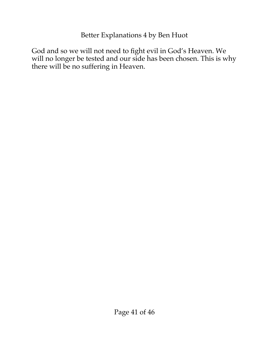God and so we will not need to fight evil in God's Heaven. We will no longer be tested and our side has been chosen. This is why there will be no suffering in Heaven.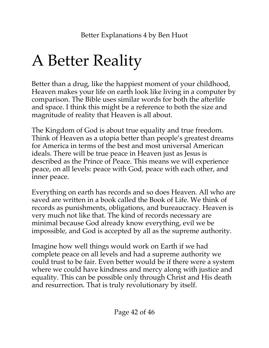## <span id="page-41-0"></span>A Better Reality

Better than a drug, like the happiest moment of your childhood, Heaven makes your life on earth look like living in a computer by comparison. The Bible uses similar words for both the afterlife and space. I think this might be a reference to both the size and magnitude of reality that Heaven is all about.

The Kingdom of God is about true equality and true freedom. Think of Heaven as a utopia better than people's greatest dreams for America in terms of the best and most universal American ideals. There will be true peace in Heaven just as Jesus is described as the Prince of Peace. This means we will experience peace, on all levels: peace with God, peace with each other, and inner peace.

Everything on earth has records and so does Heaven. All who are saved are written in a book called the Book of Life. We think of records as punishments, obligations, and bureaucracy. Heaven is very much not like that. The kind of records necessary are minimal because God already know everything, evil we be impossible, and God is accepted by all as the supreme authority.

Imagine how well things would work on Earth if we had complete peace on all levels and had a supreme authority we could trust to be fair. Even better would be if there were a system where we could have kindness and mercy along with justice and equality. This can be possible only through Christ and His death and resurrection. That is truly revolutionary by itself.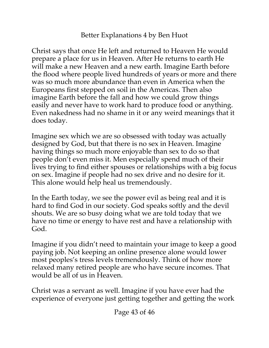Christ says that once He left and returned to Heaven He would prepare a place for us in Heaven. After He returns to earth He will make a new Heaven and a new earth. Imagine Earth before the flood where people lived hundreds of years or more and there was so much more abundance than even in America when the Europeans first stepped on soil in the Americas. Then also imagine Earth before the fall and how we could grow things easily and never have to work hard to produce food or anything. Even nakedness had no shame in it or any weird meanings that it does today.

Imagine sex which we are so obsessed with today was actually designed by God, but that there is no sex in Heaven. Imagine having things so much more enjoyable than sex to do so that people don't even miss it. Men especially spend much of their lives trying to find either spouses or relationships with a big focus on sex. Imagine if people had no sex drive and no desire for it. This alone would help heal us tremendously.

In the Earth today, we see the power evil as being real and it is hard to find God in our society. God speaks softly and the devil shouts. We are so busy doing what we are told today that we have no time or energy to have rest and have a relationship with God.

Imagine if you didn't need to maintain your image to keep a good paying job. Not keeping an online presence alone would lower most peoples's tress levels tremendously. Think of how more relaxed many retired people are who have secure incomes. That would be all of us in Heaven.

Christ was a servant as well. Imagine if you have ever had the experience of everyone just getting together and getting the work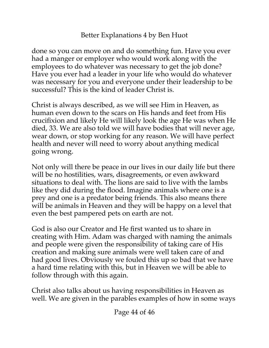done so you can move on and do something fun. Have you ever had a manger or employer who would work along with the employees to do whatever was necessary to get the job done? Have you ever had a leader in your life who would do whatever was necessary for you and everyone under their leadership to be successful? This is the kind of leader Christ is.

Christ is always described, as we will see Him in Heaven, as human even down to the scars on His hands and feet from His crucifixion and likely He will likely look the age He was when He died, 33. We are also told we will have bodies that will never age, wear down, or stop working for any reason. We will have perfect health and never will need to worry about anything medical going wrong.

Not only will there be peace in our lives in our daily life but there will be no hostilities, wars, disagreements, or even awkward situations to deal with. The lions are said to live with the lambs like they did during the flood. Imagine animals where one is a prey and one is a predator being friends. This also means there will be animals in Heaven and they will be happy on a level that even the best pampered pets on earth are not.

God is also our Creator and He first wanted us to share in creating with Him. Adam was charged with naming the animals and people were given the responsibility of taking care of His creation and making sure animals were well taken care of and had good lives. Obviously we fouled this up so bad that we have a hard time relating with this, but in Heaven we will be able to follow through with this again.

Christ also talks about us having responsibilities in Heaven as well. We are given in the parables examples of how in some ways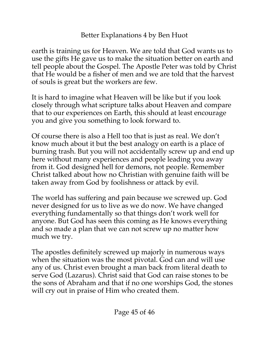earth is training us for Heaven. We are told that God wants us to use the gifts He gave us to make the situation better on earth and tell people about the Gospel. The Apostle Peter was told by Christ that He would be a fisher of men and we are told that the harvest of souls is great but the workers are few.

It is hard to imagine what Heaven will be like but if you look closely through what scripture talks about Heaven and compare that to our experiences on Earth, this should at least encourage you and give you something to look forward to.

Of course there is also a Hell too that is just as real. We don't know much about it but the best analogy on earth is a place of burning trash. But you will not accidentally screw up and end up here without many experiences and people leading you away from it. God designed hell for demons, not people. Remember Christ talked about how no Christian with genuine faith will be taken away from God by foolishness or attack by evil.

The world has suffering and pain because we screwed up. God never designed for us to live as we do now. We have changed everything fundamentally so that things don't work well for anyone. But God has seen this coming as He knows everything and so made a plan that we can not screw up no matter how much we try.

The apostles definitely screwed up majorly in numerous ways when the situation was the most pivotal. God can and will use any of us. Christ even brought a man back from literal death to serve God (Lazarus). Christ said that God can raise stones to be the sons of Abraham and that if no one worships God, the stones will cry out in praise of Him who created them.